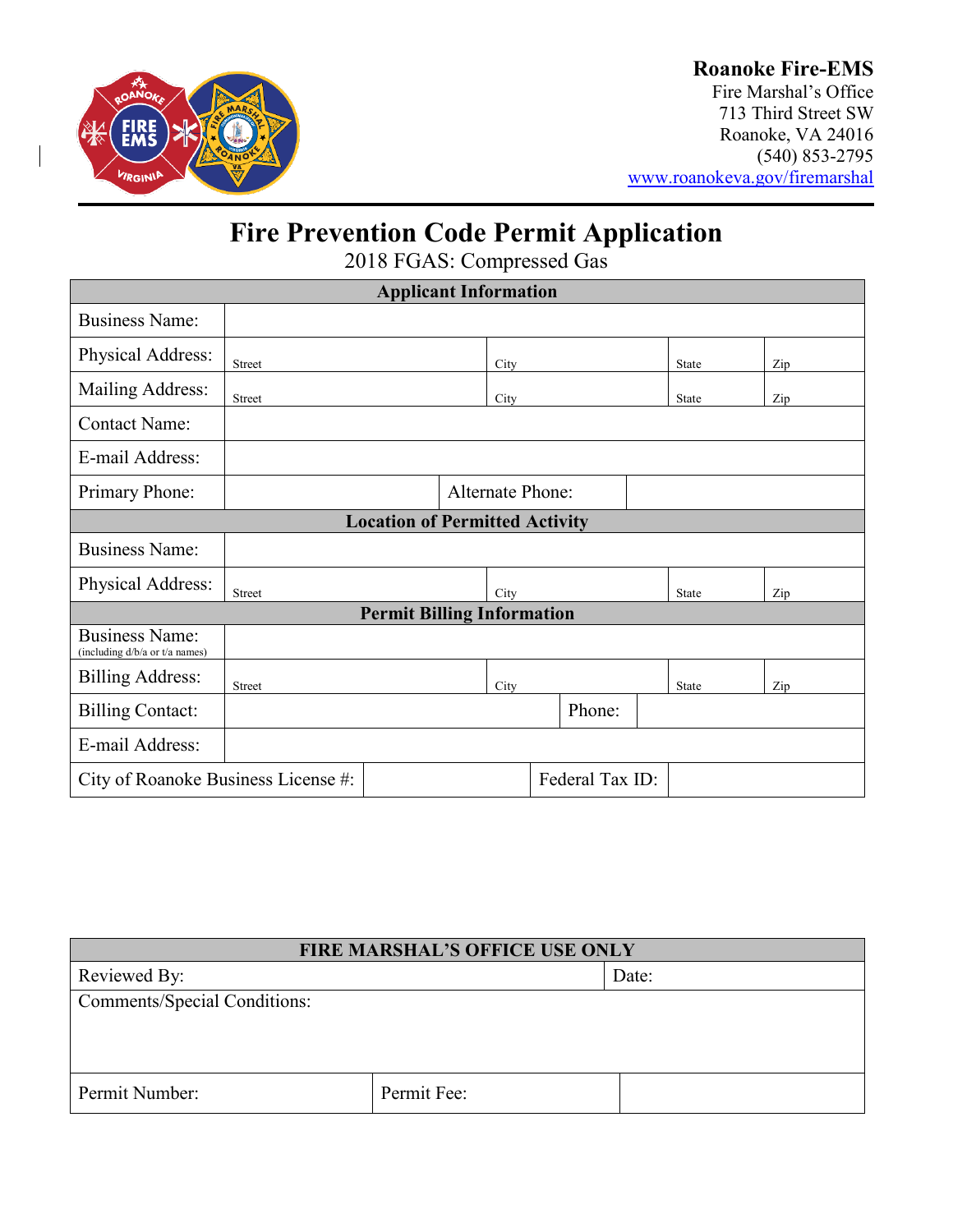

### **Roanoke Fire-EMS**

Fire Marshal's Office 713 Third Street SW Roanoke, VA 24016 (540) 853-2795 [www.roanokeva.gov/firemarshal](http://www.roanokeva.gov/firemarshal)

# **Fire Prevention Code Permit Application**

2018 FGAS: Compressed Gas

| <b>Applicant Information</b>                            |                                                        |  |      |        |  |              |  |     |
|---------------------------------------------------------|--------------------------------------------------------|--|------|--------|--|--------------|--|-----|
| <b>Business Name:</b>                                   |                                                        |  |      |        |  |              |  |     |
| Physical Address:                                       | Street                                                 |  | City |        |  | <b>State</b> |  | Zip |
| Mailing Address:                                        | <b>Street</b>                                          |  | City |        |  | <b>State</b> |  | Zip |
| <b>Contact Name:</b>                                    |                                                        |  |      |        |  |              |  |     |
| E-mail Address:                                         |                                                        |  |      |        |  |              |  |     |
| Primary Phone:                                          | <b>Alternate Phone:</b>                                |  |      |        |  |              |  |     |
| <b>Location of Permitted Activity</b>                   |                                                        |  |      |        |  |              |  |     |
| <b>Business Name:</b>                                   |                                                        |  |      |        |  |              |  |     |
| Physical Address:                                       | <b>Street</b>                                          |  | City |        |  | State        |  | Zip |
| <b>Permit Billing Information</b>                       |                                                        |  |      |        |  |              |  |     |
| <b>Business Name:</b><br>(including d/b/a or t/a names) |                                                        |  |      |        |  |              |  |     |
| <b>Billing Address:</b>                                 | <b>Street</b>                                          |  | City |        |  | <b>State</b> |  | Zip |
| <b>Billing Contact:</b>                                 |                                                        |  |      | Phone: |  |              |  |     |
| E-mail Address:                                         |                                                        |  |      |        |  |              |  |     |
|                                                         | Federal Tax ID:<br>City of Roanoke Business License #: |  |      |        |  |              |  |     |

| <b>FIRE MARSHAL'S OFFICE USE ONLY</b> |             |       |  |
|---------------------------------------|-------------|-------|--|
| Reviewed By:                          |             | Date: |  |
| <b>Comments/Special Conditions:</b>   |             |       |  |
|                                       |             |       |  |
|                                       |             |       |  |
| Permit Number:                        | Permit Fee: |       |  |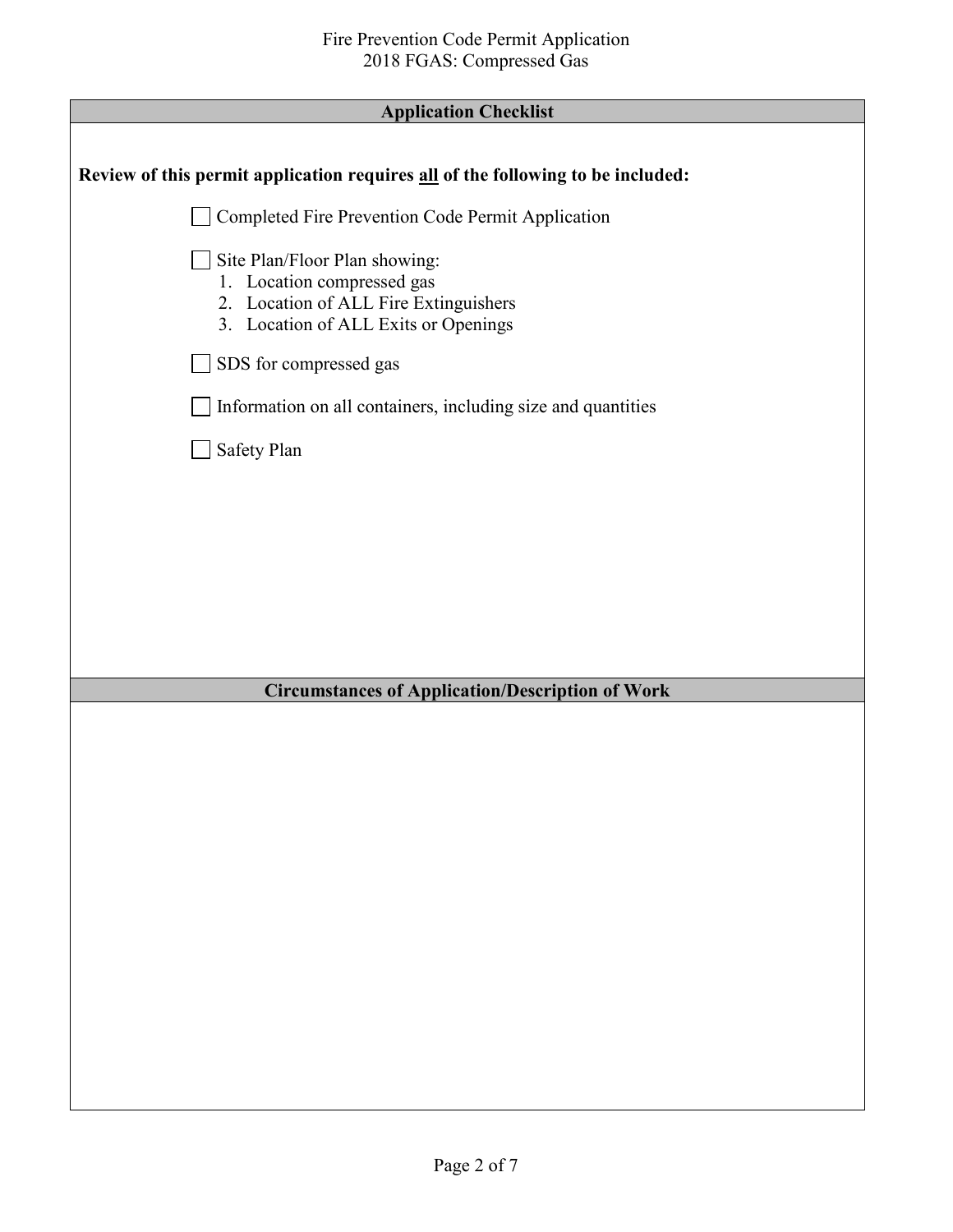| <b>Application Checklist</b>                                                                                                                 |
|----------------------------------------------------------------------------------------------------------------------------------------------|
|                                                                                                                                              |
| Review of this permit application requires all of the following to be included:                                                              |
| Completed Fire Prevention Code Permit Application                                                                                            |
| Site Plan/Floor Plan showing:<br>1. Location compressed gas<br>2. Location of ALL Fire Extinguishers<br>3. Location of ALL Exits or Openings |
| SDS for compressed gas                                                                                                                       |
| Information on all containers, including size and quantities                                                                                 |
| Safety Plan                                                                                                                                  |
|                                                                                                                                              |
|                                                                                                                                              |
|                                                                                                                                              |
|                                                                                                                                              |
|                                                                                                                                              |
| <b>Circumstances of Application/Description of Work</b>                                                                                      |
|                                                                                                                                              |
|                                                                                                                                              |
|                                                                                                                                              |
|                                                                                                                                              |
|                                                                                                                                              |
|                                                                                                                                              |
|                                                                                                                                              |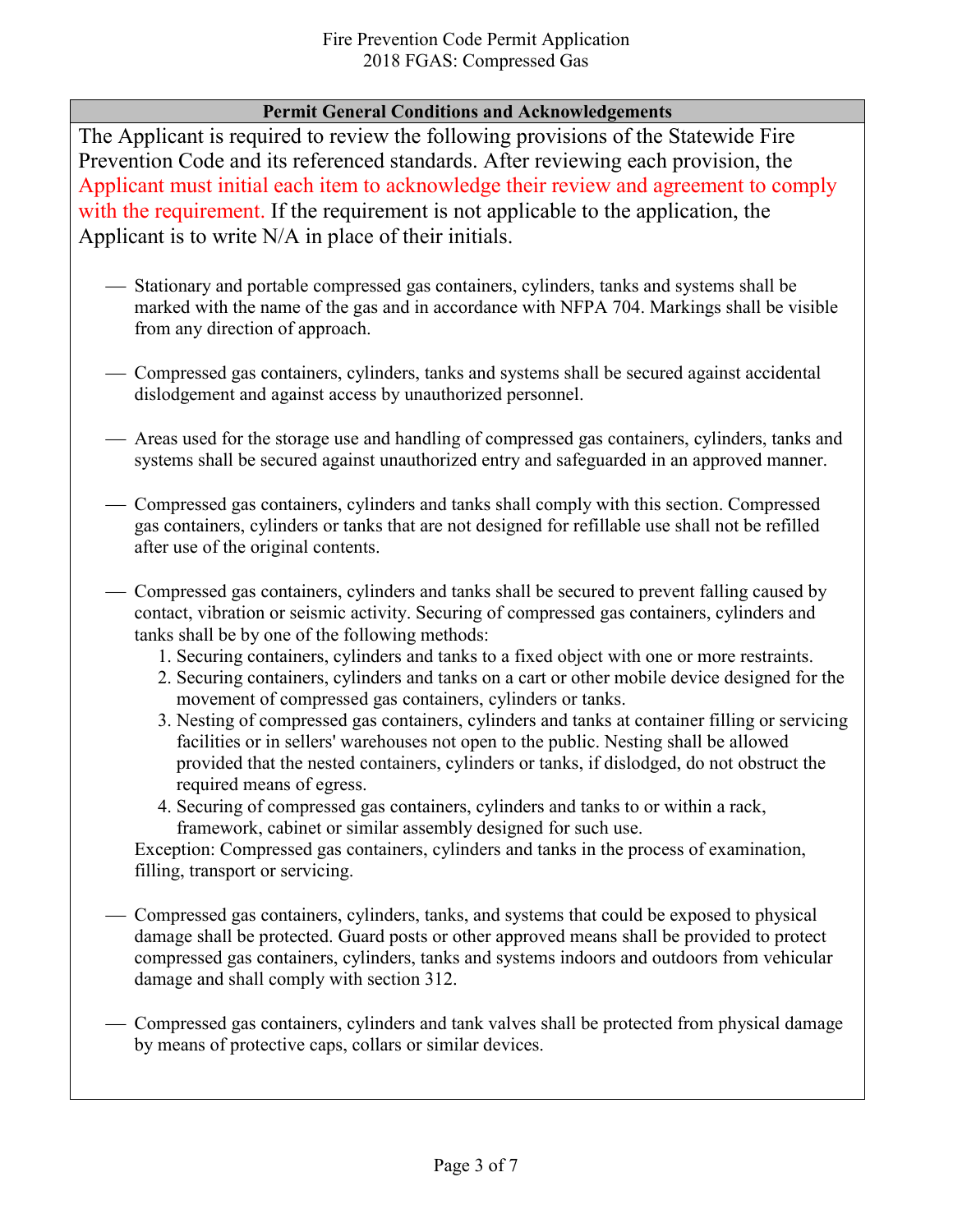### **Permit General Conditions and Acknowledgements**

The Applicant is required to review the following provisions of the Statewide Fire Prevention Code and its referenced standards. After reviewing each provision, the Applicant must initial each item to acknowledge their review and agreement to comply with the requirement. If the requirement is not applicable to the application, the Applicant is to write N/A in place of their initials.

- Stationary and portable compressed gas containers, cylinders, tanks and systems shall be marked with the name of the gas and in accordance with NFPA 704. Markings shall be visible from any direction of approach.
- Compressed gas containers, cylinders, tanks and systems shall be secured against accidental dislodgement and against access by unauthorized personnel.
- Areas used for the storage use and handling of compressed gas containers, cylinders, tanks and systems shall be secured against unauthorized entry and safeguarded in an approved manner.
- Compressed gas containers, cylinders and tanks shall comply with this section. Compressed gas containers, cylinders or tanks that are not designed for refillable use shall not be refilled after use of the original contents.
- Compressed gas containers, cylinders and tanks shall be secured to prevent falling caused by contact, vibration or seismic activity. Securing of compressed gas containers, cylinders and tanks shall be by one of the following methods:
	- 1. Securing containers, cylinders and tanks to a fixed object with one or more restraints.
	- 2. Securing containers, cylinders and tanks on a cart or other mobile device designed for the movement of compressed gas containers, cylinders or tanks.
	- 3. Nesting of compressed gas containers, cylinders and tanks at container filling or servicing facilities or in sellers' warehouses not open to the public. Nesting shall be allowed provided that the nested containers, cylinders or tanks, if dislodged, do not obstruct the required means of egress.
	- 4. Securing of compressed gas containers, cylinders and tanks to or within a rack, framework, cabinet or similar assembly designed for such use.

Exception: Compressed gas containers, cylinders and tanks in the process of examination, filling, transport or servicing.

- Compressed gas containers, cylinders, tanks, and systems that could be exposed to physical damage shall be protected. Guard posts or other approved means shall be provided to protect compressed gas containers, cylinders, tanks and systems indoors and outdoors from vehicular damage and shall comply with section 312.
- Compressed gas containers, cylinders and tank valves shall be protected from physical damage by means of protective caps, collars or similar devices.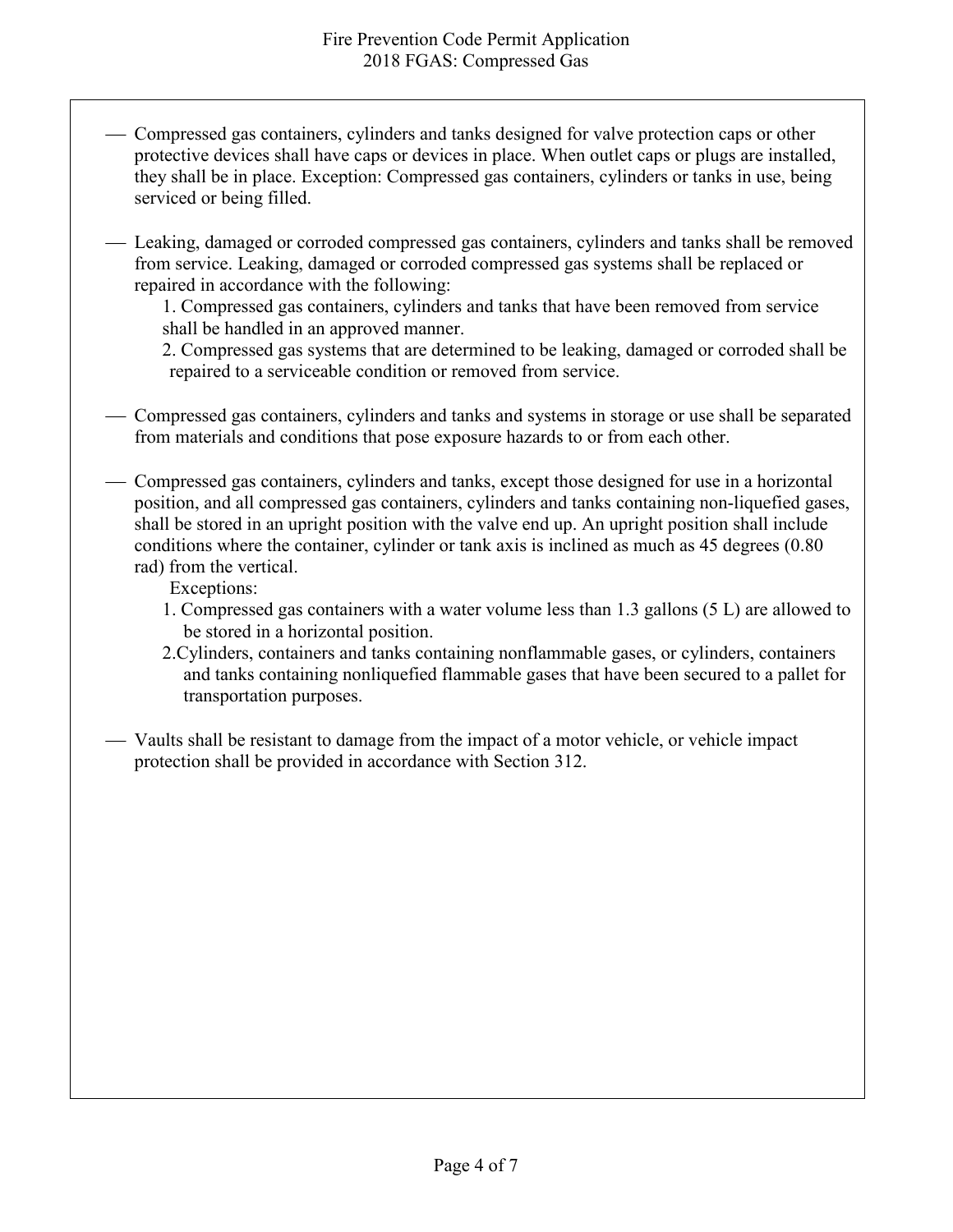- Compressed gas containers, cylinders and tanks designed for valve protection caps or other protective devices shall have caps or devices in place. When outlet caps or plugs are installed, they shall be in place. Exception: Compressed gas containers, cylinders or tanks in use, being serviced or being filled.
- Leaking, damaged or corroded compressed gas containers, cylinders and tanks shall be removed from service. Leaking, damaged or corroded compressed gas systems shall be replaced or repaired in accordance with the following:

1. Compressed gas containers, cylinders and tanks that have been removed from service shall be handled in an approved manner.

2. Compressed gas systems that are determined to be leaking, damaged or corroded shall be repaired to a serviceable condition or removed from service.

- Compressed gas containers, cylinders and tanks and systems in storage or use shall be separated from materials and conditions that pose exposure hazards to or from each other.
- Compressed gas containers, cylinders and tanks, except those designed for use in a horizontal position, and all compressed gas containers, cylinders and tanks containing non-liquefied gases, shall be stored in an upright position with the valve end up. An upright position shall include conditions where the container, cylinder or tank axis is inclined as much as 45 degrees (0.80 rad) from the vertical.

Exceptions:

- 1. Compressed gas containers with a water volume less than 1.3 gallons (5 L) are allowed to be stored in a horizontal position.
- 2.Cylinders, containers and tanks containing nonflammable gases, or cylinders, containers and tanks containing nonliquefied flammable gases that have been secured to a pallet for transportation purposes.
- Vaults shall be resistant to damage from the impact of a motor vehicle, or vehicle impact protection shall be provided in accordance with Section 312.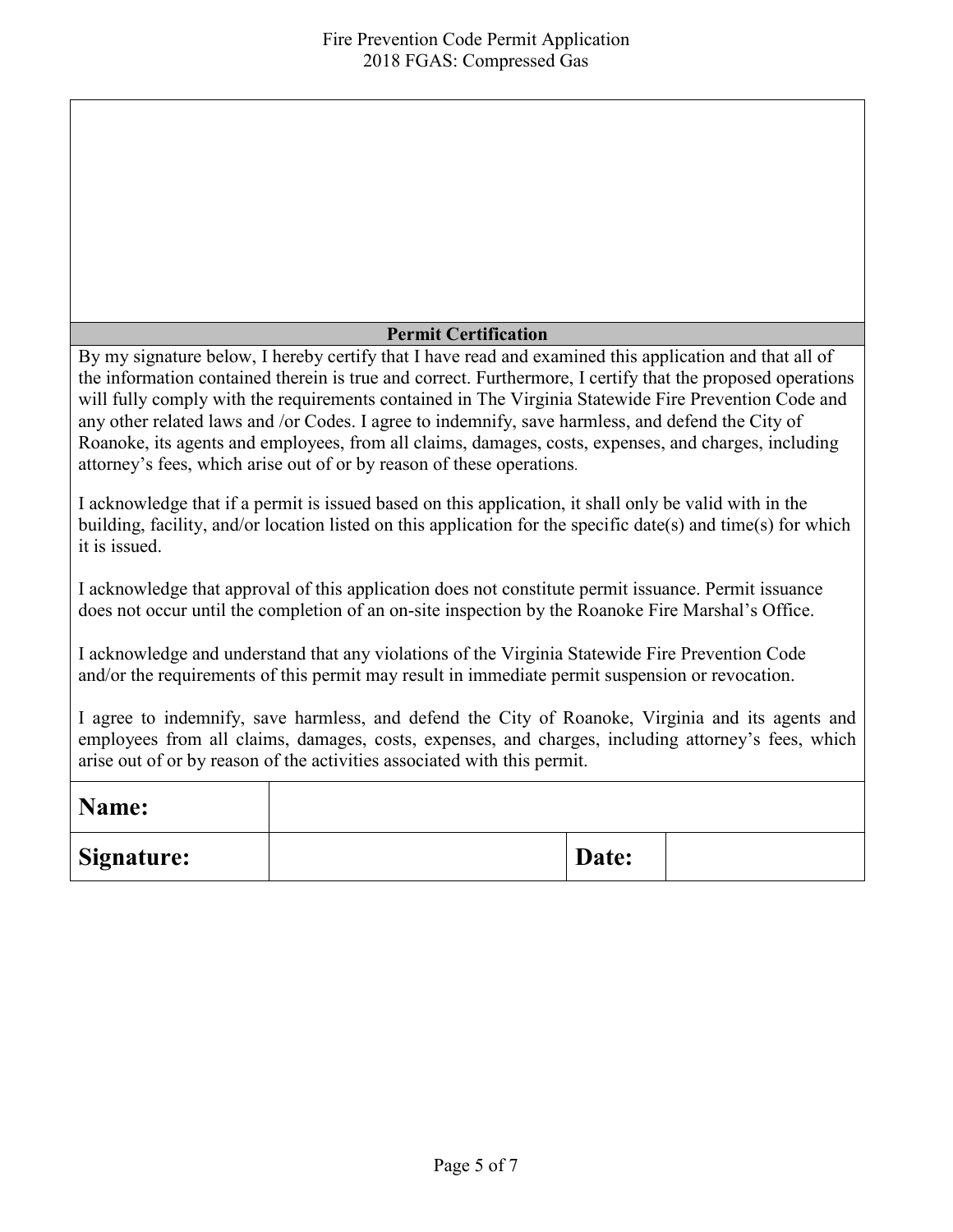#### **Permit Certification**

By my signature below, I hereby certify that I have read and examined this application and that all of the information contained therein is true and correct. Furthermore, I certify that the proposed operations will fully comply with the requirements contained in The Virginia Statewide Fire Prevention Code and any other related laws and /or Codes. I agree to indemnify, save harmless, and defend the City of Roanoke, its agents and employees, from all claims, damages, costs, expenses, and charges, including attorney's fees, which arise out of or by reason of these operations.

I acknowledge that if a permit is issued based on this application, it shall only be valid with in the building, facility, and/or location listed on this application for the specific date(s) and time(s) for which it is issued.

I acknowledge that approval of this application does not constitute permit issuance. Permit issuance does not occur until the completion of an on-site inspection by the Roanoke Fire Marshal's Office.

I acknowledge and understand that any violations of the Virginia Statewide Fire Prevention Code and/or the requirements of this permit may result in immediate permit suspension or revocation.

I agree to indemnify, save harmless, and defend the City of Roanoke, Virginia and its agents and employees from all claims, damages, costs, expenses, and charges, including attorney's fees, which arise out of or by reason of the activities associated with this permit.

| Name:             |       |  |
|-------------------|-------|--|
| <b>Signature:</b> | Date: |  |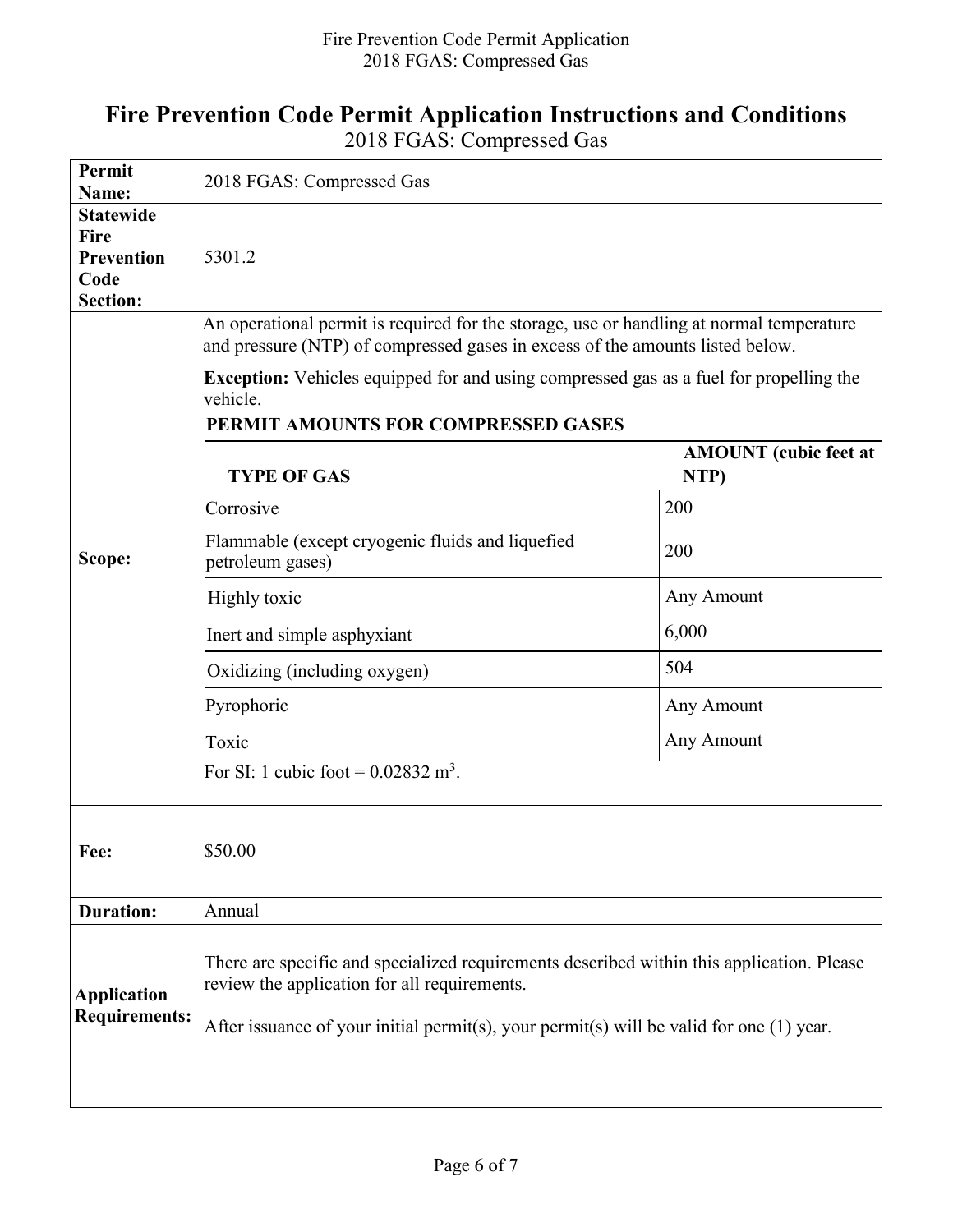# **Fire Prevention Code Permit Application Instructions and Conditions**

2018 FGAS: Compressed Gas

| Permit<br>Name:                                                          | 2018 FGAS: Compressed Gas                                                                                                                                                                                                                                                              |                                      |  |  |  |
|--------------------------------------------------------------------------|----------------------------------------------------------------------------------------------------------------------------------------------------------------------------------------------------------------------------------------------------------------------------------------|--------------------------------------|--|--|--|
| <b>Statewide</b><br>Fire<br><b>Prevention</b><br>Code<br><b>Section:</b> | 5301.2                                                                                                                                                                                                                                                                                 |                                      |  |  |  |
|                                                                          | An operational permit is required for the storage, use or handling at normal temperature<br>and pressure (NTP) of compressed gases in excess of the amounts listed below.<br><b>Exception:</b> Vehicles equipped for and using compressed gas as a fuel for propelling the<br>vehicle. |                                      |  |  |  |
|                                                                          | PERMIT AMOUNTS FOR COMPRESSED GASES<br><b>TYPE OF GAS</b>                                                                                                                                                                                                                              | <b>AMOUNT</b> (cubic feet at<br>NTP) |  |  |  |
|                                                                          | Corrosive                                                                                                                                                                                                                                                                              | 200                                  |  |  |  |
| Scope:                                                                   | Flammable (except cryogenic fluids and liquefied<br>petroleum gases)                                                                                                                                                                                                                   | 200                                  |  |  |  |
|                                                                          | Highly toxic                                                                                                                                                                                                                                                                           | Any Amount                           |  |  |  |
|                                                                          | Inert and simple asphyxiant                                                                                                                                                                                                                                                            | 6,000                                |  |  |  |
|                                                                          | Oxidizing (including oxygen)                                                                                                                                                                                                                                                           | 504                                  |  |  |  |
|                                                                          | Pyrophoric                                                                                                                                                                                                                                                                             | Any Amount                           |  |  |  |
|                                                                          | Toxic                                                                                                                                                                                                                                                                                  | Any Amount                           |  |  |  |
|                                                                          | For SI: 1 cubic foot = $0.02832 \text{ m}^3$ .                                                                                                                                                                                                                                         |                                      |  |  |  |
| Fee:                                                                     | \$50.00                                                                                                                                                                                                                                                                                |                                      |  |  |  |
| <b>Duration:</b>                                                         | Annual                                                                                                                                                                                                                                                                                 |                                      |  |  |  |
| <b>Application</b><br><b>Requirements:</b>                               | There are specific and specialized requirements described within this application. Please<br>review the application for all requirements.<br>After issuance of your initial permit(s), your permit(s) will be valid for one $(1)$ year.                                                |                                      |  |  |  |